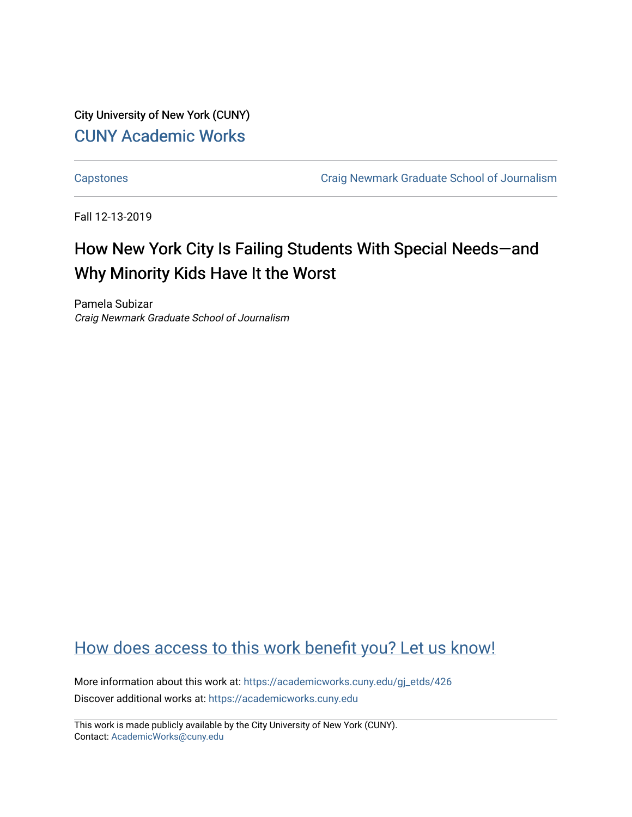City University of New York (CUNY) [CUNY Academic Works](https://academicworks.cuny.edu/) 

[Capstones](https://academicworks.cuny.edu/gj_etds) [Craig Newmark Graduate School of Journalism](https://academicworks.cuny.edu/gj) 

Fall 12-13-2019

# How New York City Is Failing Students With Special Needs—and Why Minority Kids Have It the Worst

Pamela Subizar Craig Newmark Graduate School of Journalism

# [How does access to this work benefit you? Let us know!](http://ols.cuny.edu/academicworks/?ref=https://academicworks.cuny.edu/gj_etds/426)

More information about this work at: [https://academicworks.cuny.edu/gj\\_etds/426](https://academicworks.cuny.edu/gj_etds/426)  Discover additional works at: [https://academicworks.cuny.edu](https://academicworks.cuny.edu/?)

This work is made publicly available by the City University of New York (CUNY). Contact: [AcademicWorks@cuny.edu](mailto:AcademicWorks@cuny.edu)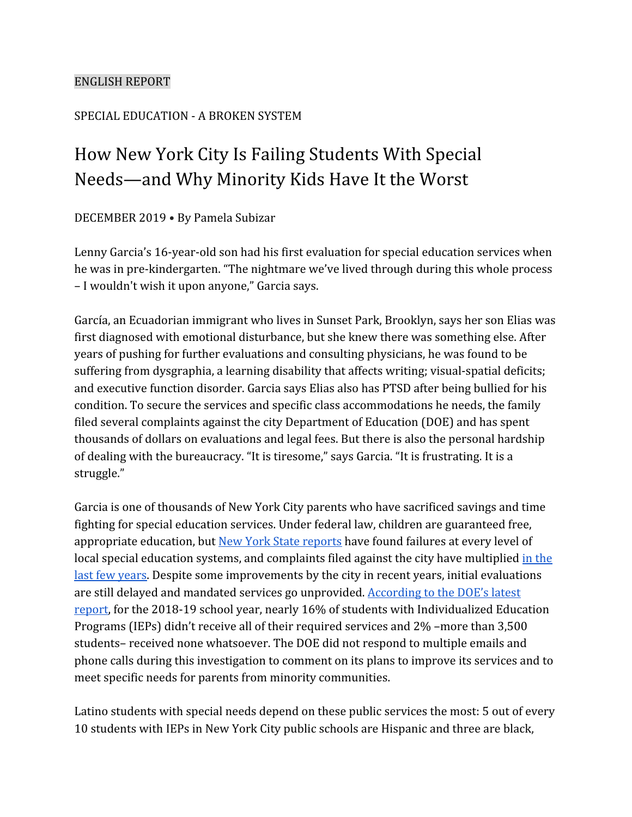### ENGLISH REPORT

# SPECIAL EDUCATION - A BROKEN SYSTEM

# How New York City Is Failing Students With Special Needs—and Why Minority Kids Have It the Worst

DECEMBER 2019 • By Pamela Subizar

Lenny Garcia's 16-year-old son had his first evaluation for special education services when he was in pre-kindergarten. "The nightmare we've lived through during this whole process – I wouldn't wish it upon anyone," Garcia says.

García, an Ecuadorian immigrant who lives in Sunset Park, Brooklyn, says her son Elias was first diagnosed with emotional disturbance, but she knew there was something else. After years of pushing for further evaluations and consulting physicians, he was found to be suffering from dysgraphia, a learning disability that affects writing; visual-spatial deficits; and executive function disorder. Garcia says Elias also has PTSD after being bullied for his condition. To secure the services and specific class accommodations he needs, the family filed several complaints against the city Department of Education (DOE) and has spent thousands of dollars on evaluations and legal fees. But there is also the personal hardship of dealing with the bureaucracy. "It is tiresome," says Garcia. "It is frustrating. It is a struggle."

Garcia is one of thousands of New York City parents who have sacrificed savings and time fighting for special education services. Under federal law, children are guaranteed free, appropriate education, but [New York State reports](https://assets.documentcloud.org/documents/6025929/NYCDOE-Compliance-Assurance-Plan-May-2019.pdf) have found failures at every level of local special education systems, and complaints filed against the city have multiplied [in the](https://thecity.nyc/2019/05/complaints-by-parents-of-special-education-students-surge.html) [last few years](https://thecity.nyc/2019/05/complaints-by-parents-of-special-education-students-surge.html). Despite some improvements by the city in recent years, initial evaluations are still delayed and mandated services go unprovided. [According to the DOE's latest](https://infohub.nyced.org/docs/default-source/default-document-library/annual-special-education-data-report-sy18-1960b79998ec27487584b9fedec3fac29c.pdf) [report,](https://infohub.nyced.org/docs/default-source/default-document-library/annual-special-education-data-report-sy18-1960b79998ec27487584b9fedec3fac29c.pdf) for the 2018-19 school year, nearly 16% of students with Individualized Education Programs (IEPs) didn't receive all of their required services and 2% –more than 3,500 students– received none whatsoever. The DOE did not respond to multiple emails and phone calls during this investigation to comment on its plans to improve its services and to meet specific needs for parents from minority communities.

Latino students with special needs depend on these public services the most: 5 out of every 10 students with IEPs in New York City public schools are Hispanic and three are black,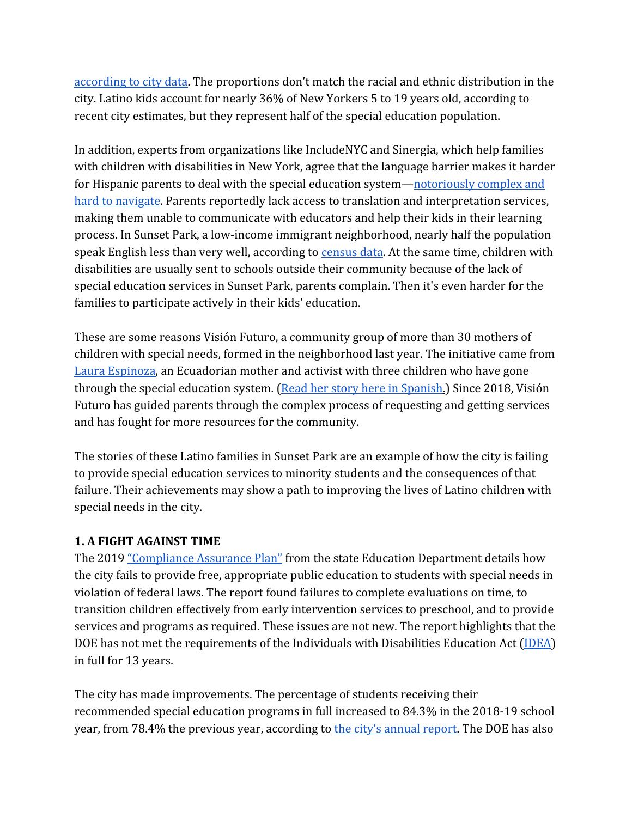[according to city data.](https://infohub.nyced.org/docs/default-source/default-document-library/annual-special-education-data-report-sy18-1960b79998ec27487584b9fedec3fac29c.pdf) The proportions don't match the racial and ethnic distribution in the city. Latino kids account for nearly 36% of New Yorkers 5 to 19 years old, according to recent city estimates, but they represent half of the special education population.

In addition, experts from organizations like IncludeNYC and Sinergia, which help families with children with disabilities in New York, agree that the language barrier makes it harder for Hispanic parents to deal with the special education system—[notoriously complex and](https://www.nytimes.com/2018/10/05/nyregion/how-special-education-is-failing-tj-and-many-children-like-him.html) [hard to navigate](https://www.nytimes.com/2018/10/05/nyregion/how-special-education-is-failing-tj-and-many-children-like-him.html). Parents reportedly lack access to translation and interpretation services, making them unable to communicate with educators and help their kids in their learning process. In Sunset Park, a low-income immigrant neighborhood, nearly half the population speak English less than very well, according to [census data](https://popfactfinder.planning.nyc.gov/profile/1088/social). At the same time, children with disabilities are usually sent to schools outside their community because of the lack of special education services in Sunset Park, parents complain. Then it's even harder for the families to participate actively in their kids' education.

These are some reasons Visión Futuro, a community group of more than 30 mothers of children with special needs, formed in the neighborhood last year. The initiative came from [Laura Espinoza,](https://medium.com/eldeadline/laura-espinoza-la-mam%C3%A1-hispana-que-est%C3%A1-cambiando-la-educaci%C3%B3n-especial-palabra-por-palabra-fc758eb275db) an Ecuadorian mother and activist with three children who have gone through the special education system. [\(Read her story here in Spanish](https://medium.com/eldeadline/laura-espinoza-la-mam%C3%A1-hispana-que-est%C3%A1-cambiando-la-educaci%C3%B3n-especial-palabra-por-palabra-fc758eb275db).) Since 2018, Visión Futuro has guided parents through the complex process of requesting and getting services and has fought for more resources for the community.

The stories of these Latino families in Sunset Park are an example of how the city is failing to provide special education services to minority students and the consequences of that failure. Their achievements may show a path to improving the lives of Latino children with special needs in the city.

### **1. A FIGHT AGAINST TIME**

The 2019 ["Compliance Assurance Plan"](https://assets.documentcloud.org/documents/6025929/NYCDOE-Compliance-Assurance-Plan-May-2019.pdf) from the state Education Department details how the city fails to provide free, appropriate public education to students with special needs in violation of federal laws. The report found failures to complete evaluations on time, to transition children effectively from early intervention services to preschool, and to provide services and programs as required. These issues are not new. The report highlights that the DOE has not met the requirements of the Individuals with Disabilities Education Act ([IDEA](https://sites.ed.gov/idea/)) in full for 13 years.

The city has made improvements. The percentage of students receiving their recommended special education programs in full increased to 84.3% in the 2018-19 school year, from 78.4% the previous year, according to [the city's annual report](https://infohub.nyced.org/docs/default-source/default-document-library/annual-special-education-data-report-sy18-1960b79998ec27487584b9fedec3fac29c.pdf). The DOE has also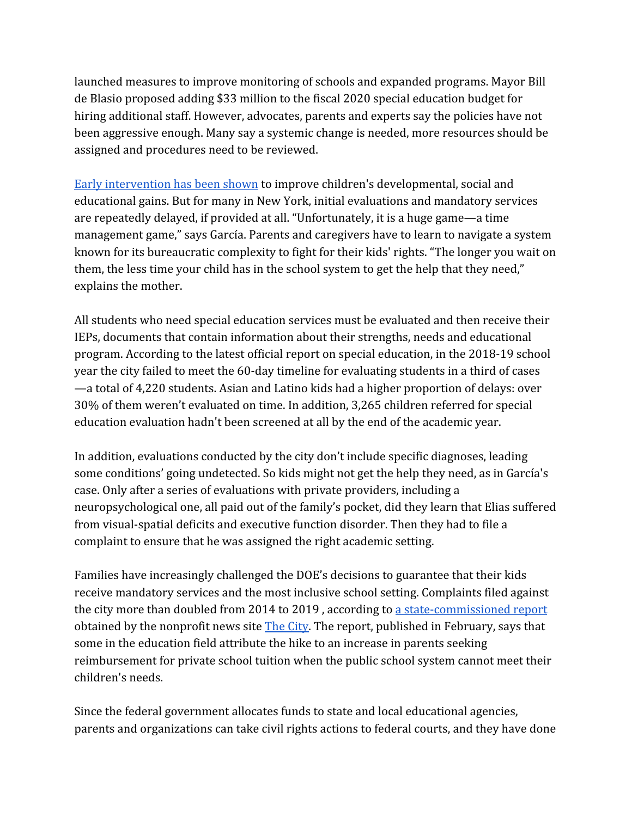launched measures to improve monitoring of schools and expanded programs. Mayor Bill de Blasio proposed adding \$33 million to the fiscal 2020 special education budget for hiring additional staff. However, advocates, parents and experts say the policies have not been aggressive enough. Many say a systemic change is needed, more resources should be assigned and procedures need to be reviewed.

[Early intervention has been shown](https://www.sri.com/publication/national-early-intervention-longitudinal-study-neils-final-report) to improve children's developmental, social and educational gains. But for many in New York, initial evaluations and mandatory services are repeatedly delayed, if provided at all. "Unfortunately, it is a huge game—a time management game," says García. Parents and caregivers have to learn to navigate a system known for its bureaucratic complexity to fight for their kids' rights. "The longer you wait on them, the less time your child has in the school system to get the help that they need," explains the mother.

All students who need special education services must be evaluated and then receive their IEPs, documents that contain information about their strengths, needs and educational program. According to the latest official report on special education, in the 2018-19 school year the city failed to meet the 60-day timeline for evaluating students in a third of cases —a total of 4,220 students. Asian and Latino kids had a higher proportion of delays: over 30% of them weren't evaluated on time. In addition, 3,265 children referred for special education evaluation hadn't been screened at all by the end of the academic year.

In addition, evaluations conducted by the city don't include specific diagnoses, leading some conditions' going undetected. So kids might not get the help they need, as in García's case. Only after a series of evaluations with private providers, including a neuropsychological one, all paid out of the family's pocket, did they learn that Elias suffered from visual-spatial deficits and executive function disorder. Then they had to file a complaint to ensure that he was assigned the right academic setting.

Families have increasingly challenged the DOE's decisions to guarantee that their kids receive mandatory services and the most inclusive school setting. Complaints filed against the city more than doubled from 2014 to 2019 , according to [a state-commissioned report](https://www.documentcloud.org/documents/6025928-External-Review-of-the-New-York-City-Impartial.html) obtained by the nonprofit news site **The City**. The report, published in February, says that some in the education field attribute the hike to an increase in parents seeking reimbursement for private school tuition when the public school system cannot meet their children's needs.

Since the federal government allocates funds to state and local educational agencies, parents and organizations can take civil rights actions to federal courts, and they have done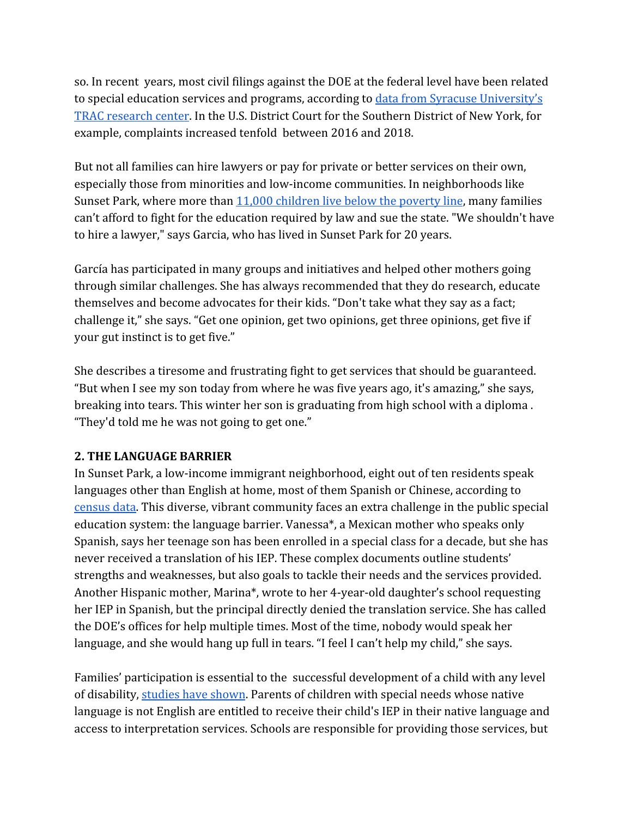so. In recent years, most civil filings against the DOE at the federal level have been related to special education services and programs, according to [data from Syracuse University's](https://tracfed.syr.edu/) [TRAC research center](https://tracfed.syr.edu/). In the U.S. District Court for the Southern District of New York, for example, complaints increased tenfold between 2016 and 2018.

But not all families can hire lawyers or pay for private or better services on their own, especially those from minorities and low-income communities. In neighborhoods like Sunset Park, where more than [11,000 children live below the poverty line](https://popfactfinder.planning.nyc.gov/profile/1088/economic), many families can't afford to fight for the education required by law and sue the state. "We shouldn't have to hire a lawyer," says Garcia, who has lived in Sunset Park for 20 years.

García has participated in many groups and initiatives and helped other mothers going through similar challenges. She has always recommended that they do research, educate themselves and become advocates for their kids. "Don't take what they say as a fact; challenge it," she says. "Get one opinion, get two opinions, get three opinions, get five if your gut instinct is to get five."

She describes a tiresome and frustrating fight to get services that should be guaranteed. "But when I see my son today from where he was five years ago, it's amazing," she says, breaking into tears. This winter her son is graduating from high school with a diploma . "They'd told me he was not going to get one."

### **2. THE LANGUAGE BARRIER**

In Sunset Park, a low-income immigrant neighborhood, eight out of ten residents speak languages other than English at home, most of them Spanish or Chinese, according to [census data.](https://popfactfinder.planning.nyc.gov/profile/1088/social) This diverse, vibrant community faces an extra challenge in the public special education system: the language barrier. Vanessa\*, a Mexican mother who speaks only Spanish, says her teenage son has been enrolled in a special class for a decade, but she has never received a translation of his IEP. These complex documents outline students' strengths and weaknesses, but also goals to tackle their needs and the services provided. Another Hispanic mother, Marina\*, wrote to her 4-year-old daughter's school requesting her IEP in Spanish, but the principal directly denied the translation service. She has called the DOE's offices for help multiple times. Most of the time, nobody would speak her language, and she would hang up full in tears. "I feel I can't help my child," she says.

Families' participation is essential to the successful development of a child with any level of disability, [studies have shown](https://ectacenter.org/~pdfs/pubs/outcomesofearlyintervention.pdf). Parents of children with special needs whose native language is not English are entitled to receive their child's IEP in their native language and access to interpretation services. Schools are responsible for providing those services, but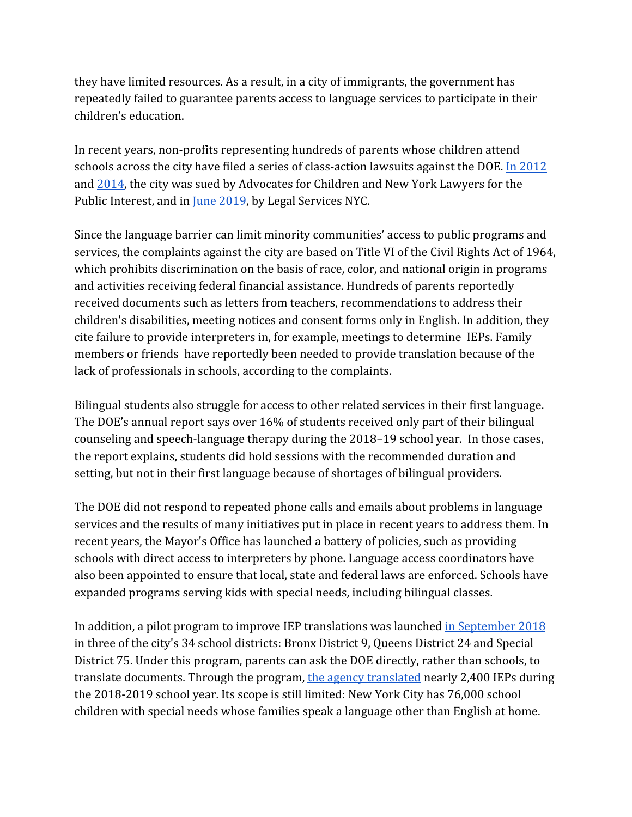they have limited resources. As a result, in a city of immigrants, the government has repeatedly failed to guarantee parents access to language services to participate in their children's education.

In recent years, non-profits representing hundreds of parents whose children attend schools across the city have filed a series of class-action lawsuits against the DOE. [In 2012](https://drive.google.com/file/d/1OFKrBHgYZ1QD8gX5M751HppQg326e1zI/view?usp=sharing) and [2014,](https://drive.google.com/file/d/1c0LMmlUObewLXCmNXQ69QyEdZztLo1LM/view?usp=sharing) the city was sued by Advocates for Children and New York Lawyers for the Public Interest, and in [June 2019](https://drive.google.com/file/d/19IZPUiImgJTdmas_auS98lcUaURYk73N/view?usp=sharing), by Legal Services NYC.

Since the language barrier can limit minority communities' access to public programs and services, the complaints against the city are based on Title VI of the Civil Rights Act of 1964, which prohibits discrimination on the basis of race, color, and national origin in programs and activities receiving federal financial assistance. Hundreds of parents reportedly received documents such as letters from teachers, recommendations to address their children's disabilities, meeting notices and consent forms only in English. In addition, they cite failure to provide interpreters in, for example, meetings to determine IEPs. Family members or friends have reportedly been needed to provide translation because of the lack of professionals in schools, according to the complaints.

Bilingual students also struggle for access to other related services in their first language. The DOE's annual report says over 16% of students received only part of their bilingual counseling and speech-language therapy during the 2018–19 school year. In those cases, the report explains, students did hold sessions with the recommended duration and setting, but not in their first language because of shortages of bilingual providers.

The DOE did not respond to repeated phone calls and emails about problems in language services and the results of many initiatives put in place in recent years to address them. In recent years, the Mayor's Office has launched a battery of policies, such as providing schools with direct access to interpreters by phone. Language access coordinators have also been appointed to ensure that local, state and federal laws are enforced. Schools have expanded programs serving kids with special needs, including bilingual classes.

In addition, a pilot program to improve IEP translations was launched [in September 2018](https://ny.chalkbeat.org/2019/1/9/21106525/parents-with-limited-english-can-get-lost-without-translations-of-special-ed-plans-nyc-is-trying-to) in three of the city's 34 school districts: Bronx District 9, Queens District 24 and Special District 75. Under this program, parents can ask the DOE directly, rather than schools, to translate documents. Through the program, [the agency translated](https://www.nydailynews.com/new-york/education/ny-special-education-translate-20191018-kxkbc6y5k5cj3lkvba5hgwehny-story.html) nearly 2,400 IEPs during the 2018-2019 school year. Its scope is still limited: New York City has 76,000 school children with special needs whose families speak a language other than English at home.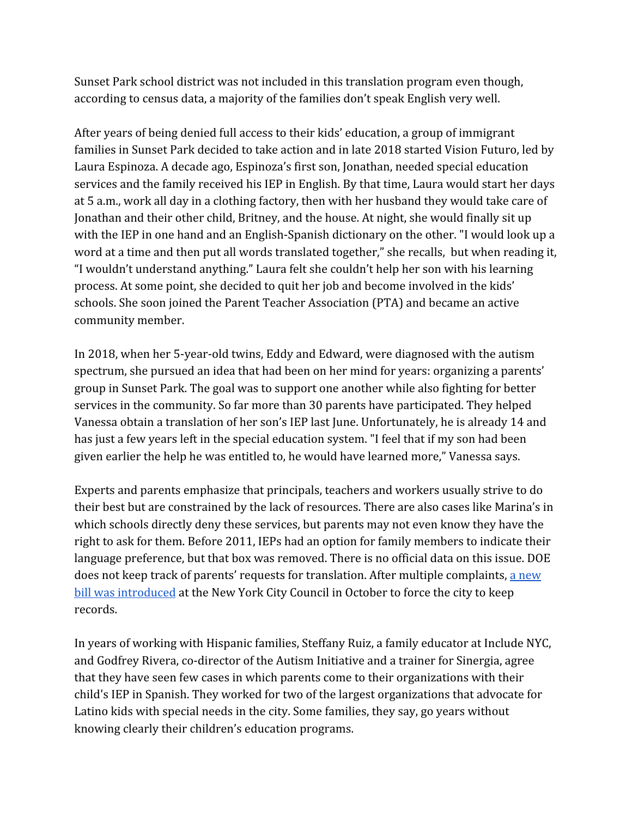Sunset Park school district was not included in this translation program even though, according to census data, a majority of the families don't speak English very well.

After years of being denied full access to their kids' education, a group of immigrant families in Sunset Park decided to take action and in late 2018 started Vision Futuro, led by Laura Espinoza. A decade ago, Espinoza's first son, Jonathan, needed special education services and the family received his IEP in English. By that time, Laura would start her days at 5 a.m., work all day in a clothing factory, then with her husband they would take care of Jonathan and their other child, Britney, and the house. At night, she would finally sit up with the IEP in one hand and an English-Spanish dictionary on the other. "I would look up a word at a time and then put all words translated together," she recalls, but when reading it, "I wouldn't understand anything." Laura felt she couldn't help her son with his learning process. At some point, she decided to quit her job and become involved in the kids' schools. She soon joined the Parent Teacher Association (PTA) and became an active community member.

In 2018, when her 5-year-old twins, Eddy and Edward, were diagnosed with the autism spectrum, she pursued an idea that had been on her mind for years: organizing a parents' group in Sunset Park. The goal was to support one another while also fighting for better services in the community. So far more than 30 parents have participated. They helped Vanessa obtain a translation of her son's IEP last June. Unfortunately, he is already 14 and has just a few years left in the special education system. "I feel that if my son had been given earlier the help he was entitled to, he would have learned more," Vanessa says.

Experts and parents emphasize that principals, teachers and workers usually strive to do their best but are constrained by the lack of resources. There are also cases like Marina's in which schools directly deny these services, but parents may not even know they have the right to ask for them. Before 2011, IEPs had an option for family members to indicate their language preference, but that box was removed. There is no official data on this issue. DOE does not keep track of parents' requests for translation. After multiple complaints, [a new](https://legistar.council.nyc.gov/LegislationDetail.aspx?ID=4196297&GUID=DC9DFEB0-A567-491A-B54B-EE4D34B8DF8D&Options=ID%7CText%7C&Search=translation) [bill was introduced](https://legistar.council.nyc.gov/LegislationDetail.aspx?ID=4196297&GUID=DC9DFEB0-A567-491A-B54B-EE4D34B8DF8D&Options=ID%7CText%7C&Search=translation) at the New York City Council in October to force the city to keep records.

In years of working with Hispanic families, Steffany Ruiz, a family educator at Include NYC, and Godfrey Rivera, co-director of the Autism Initiative and a trainer for Sinergia, agree that they have seen few cases in which parents come to their organizations with their child's IEP in Spanish. They worked for two of the largest organizations that advocate for Latino kids with special needs in the city. Some families, they say, go years without knowing clearly their children's education programs.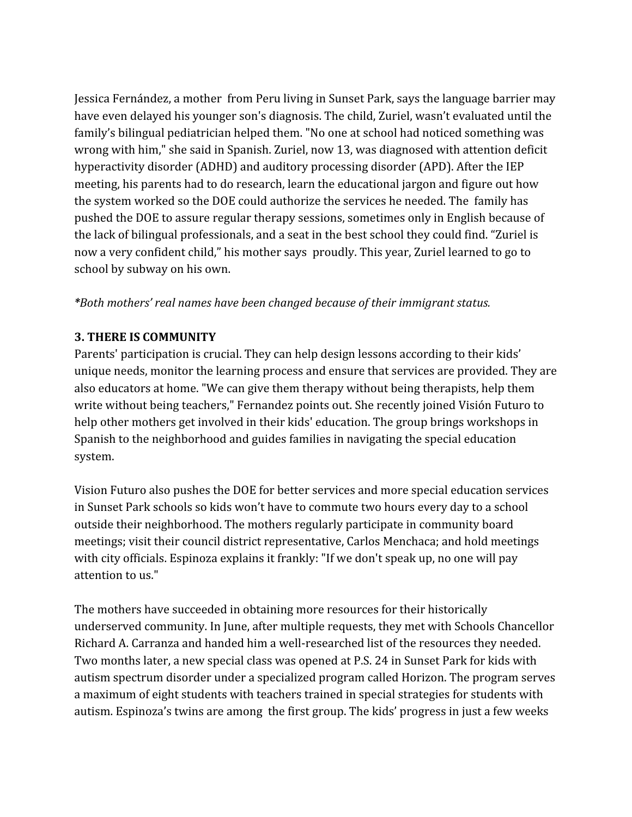Jessica Fernández, a mother from Peru living in Sunset Park, says the language barrier may have even delayed his younger son's diagnosis. The child, Zuriel, wasn't evaluated until the family's bilingual pediatrician helped them. "No one at school had noticed something was wrong with him," she said in Spanish. Zuriel, now 13, was diagnosed with attention deficit hyperactivity disorder (ADHD) and auditory processing disorder (APD). After the IEP meeting, his parents had to do research, learn the educational jargon and figure out how the system worked so the DOE could authorize the services he needed. The family has pushed the DOE to assure regular therapy sessions, sometimes only in English because of the lack of bilingual professionals, and a seat in the best school they could find. "Zuriel is now a very confident child," his mother says proudly. This year, Zuriel learned to go to school by subway on his own.

## *\*Both mothers' real names have been changed because of their immigrant status.*

## **3. THERE IS COMMUNITY**

Parents' participation is crucial. They can help design lessons according to their kids' unique needs, monitor the learning process and ensure that services are provided. They are also educators at home. "We can give them therapy without being therapists, help them write without being teachers," Fernandez points out. She recently joined Visión Futuro to help other mothers get involved in their kids' education. The group brings workshops in Spanish to the neighborhood and guides families in navigating the special education system.

Vision Futuro also pushes the DOE for better services and more special education services in Sunset Park schools so kids won't have to commute two hours every day to a school outside their neighborhood. The mothers regularly participate in community board meetings; visit their council district representative, Carlos Menchaca; and hold meetings with city officials. Espinoza explains it frankly: "If we don't speak up, no one will pay attention to us."

The mothers have succeeded in obtaining more resources for their historically underserved community. In June, after multiple requests, they met with Schools Chancellor Richard A. Carranza and handed him a well-researched list of the resources they needed. Two months later, a new special class was opened at P.S. 24 in Sunset Park for kids with autism spectrum disorder under a specialized program called Horizon. The program serves a maximum of eight students with teachers trained in special strategies for students with autism. Espinoza's twins are among the first group. The kids' progress in just a few weeks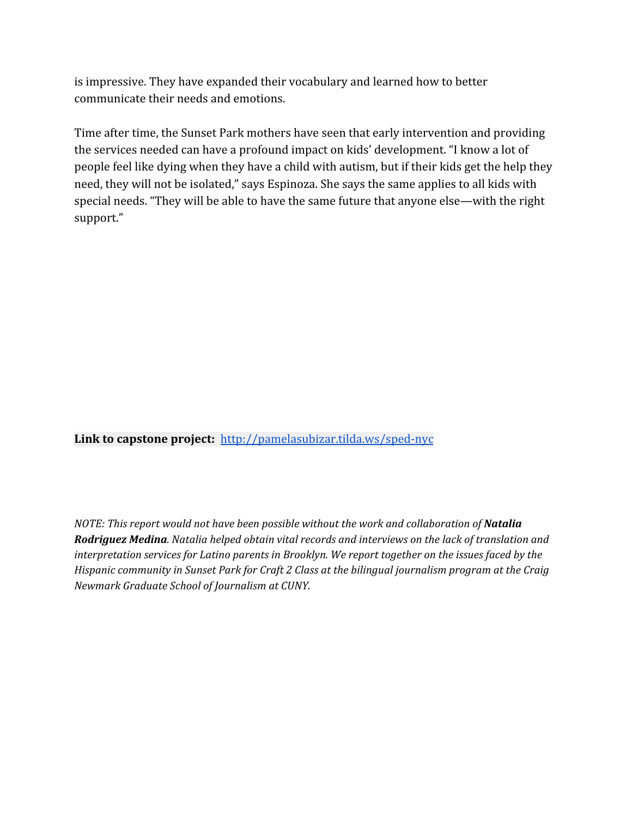is impressive. They have expanded their vocabulary and learned how to better communicate their needs and emotions.

Time after time, the Sunset Park mothers have seen that early intervention and providing the services needed can have a profound impact on kids' development. "I know a lot of people feel like dying when they have a child with autism, but if their kids get the help they need, they will not be isolated," says Espinoza. She says the same applies to all kids with special needs. "They will be able to have the same future that anyone else—with the right support."

**Link to capstone project:** <http://pamelasubizar.tilda.ws/sped-nyc>

*NOTE: This report would not have been possible without the work and collaboration of Natalia Rodriguez Medina. Natalia helped obtain vital records and interviews on the lack of translation and interpretation services for Latino parents in Brooklyn. We report together on the issues faced by the Hispanic community in Sunset Park for Craft 2 Class at the bilingual journalism program at the Craig Newmark Graduate School of Journalism at CUNY.*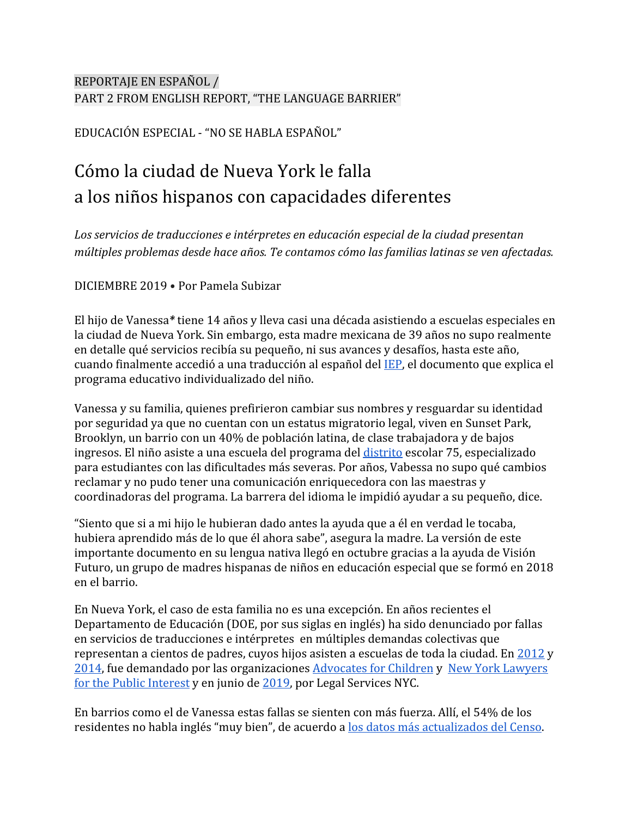# REPORTAJE EN ESPAÑOL / PART 2 FROM ENGLISH REPORT, "THE LANGUAGE BARRIER"

EDUCACIÓN ESPECIAL - "NO SE HABLA ESPAÑOL"

# Cómo la ciudad de Nueva York le falla a los niños hispanos con capacidades diferentes

*Los servicios de traducciones e intérpretes en educación especial de la ciudad presentan múltiples problemas desde hace años. Te contamos cómo las familias latinas se ven afectadas.*

DICIEMBRE 2019 • Por Pamela Subizar

El hijo de Vanessa*\** tiene 14 años y lleva casi una década asistiendo a escuelas especiales en la ciudad de Nueva York. Sin embargo, esta madre mexicana de 39 años no supo realmente en detalle qué servicios recibía su pequeño, ni sus avances y desafíos, hasta este año, cuando finalmente accedió a una traducción al español del [IEP,](https://www.schools.nyc.gov/special-education/the-iep-process/the-iep) el documento que explica el programa educativo individualizado del niño.

Vanessa y su familia, quienes prefirieron cambiar sus nombres y resguardar su identidad por seguridad ya que no cuentan con un estatus migratorio legal, viven en Sunset Park, Brooklyn, un barrio con un 40% de población latina, de clase trabajadora y de bajos ingresos. El niño asiste a una escuela del programa del [distrito](https://www.schools.nyc.gov/special-education/school-settings/district-75) escolar 75, especializado para estudiantes con las dificultades más severas. Por años, Vabessa no supo qué cambios reclamar y no pudo tener una comunicación enriquecedora con las maestras y coordinadoras del programa. La barrera del idioma le impidió ayudar a su pequeño, dice.

"Siento que si a mi hijo le hubieran dado antes la ayuda que a él en verdad le tocaba, hubiera aprendido más de lo que él ahora sabe", asegura la madre. La versión de este importante documento en su lengua nativa llegó en octubre gracias a la ayuda de Visión Futuro, un grupo de madres hispanas de niños en educación especial que se formó en 2018 en el barrio.

En Nueva York, el caso de esta familia no es una excepción. En años recientes el Departamento de Educación (DOE, por sus siglas en inglés) ha sido denunciado por fallas en servicios de traducciones e intérpretes en múltiples demandas colectivas que representan a cientos de padres, cuyos hijos asisten a escuelas de toda la ciudad. En [2012](https://drive.google.com/file/d/1OFKrBHgYZ1QD8gX5M751HppQg326e1zI/view) y [2014](https://drive.google.com/file/d/1c0LMmlUObewLXCmNXQ69QyEdZztLo1LM/view), fue demandado por las organizaciones [Advocates for Children](https://www.advocatesforchildren.org/) y [New York Lawyers](https://nylpi.org/) [for the Public Interest](https://nylpi.org/) y en junio de [2019,](https://drive.google.com/file/d/19IZPUiImgJTdmas_auS98lcUaURYk73N/view) por Legal Services NYC.

En barrios como el de Vanessa estas fallas se sienten con más fuerza. Allí, el 54% de los residentes no habla inglés "muy bien", de acuerdo a [los datos más actualizados del Censo.](https://popfactfinder.planning.nyc.gov/profile/1088/social)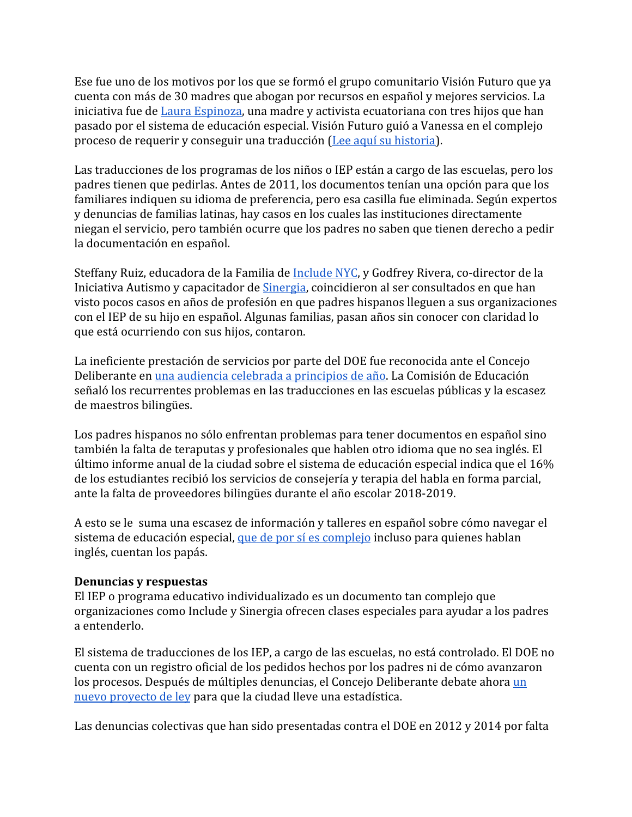Ese fue uno de los motivos por los que se formó el grupo comunitario Visión Futuro que ya cuenta con más de 30 madres que abogan por recursos en español y mejores servicios. La iniciativa fue de [Laura Espinoza,](https://medium.com/eldeadline/laura-espinoza-la-mam%C3%A1-hispana-que-est%C3%A1-cambiando-la-educaci%C3%B3n-especial-palabra-por-palabra-fc758eb275db) una madre y activista ecuatoriana con tres hijos que han pasado por el sistema de educación especial. Visión Futuro guió a Vanessa en el complejo proceso de requerir y conseguir una traducción ([Lee aquí su historia\)](https://medium.com/eldeadline/laura-espinoza-la-mam%C3%A1-hispana-que-est%C3%A1-cambiando-la-educaci%C3%B3n-especial-palabra-por-palabra-fc758eb275db).

Las traducciones de los programas de los niños o IEP están a cargo de las escuelas, pero los padres tienen que pedirlas. Antes de 2011, los documentos tenían una opción para que los familiares indiquen su idioma de preferencia, pero esa casilla fue eliminada. Según expertos y denuncias de familias latinas, hay casos en los cuales las instituciones directamente niegan el servicio, pero también ocurre que los padres no saben que tienen derecho a pedir la documentación en español.

Steffany Ruiz, educadora de la Familia de [Include NYC](http://www.includenyc.org/), y Godfrey Rivera, co-director de la Iniciativa Autismo y capacitador de [Sinergia](https://www.sinergiany.org/), coincidieron al ser consultados en que han visto pocos casos en años de profesión en que padres hispanos lleguen a sus organizaciones con el IEP de su hijo en español. Algunas familias, pasan años sin conocer con claridad lo que está ocurriendo con sus hijos, contaron.

La ineficiente prestación de servicios por parte del DOE fue reconocida ante el Concejo Deliberante en [una audiencia celebrada a principios de año.](http://nyc.legistar1.com/nyc/attachments/2c2cf829-fc23-4158-8a9d-2308d77f578f.pdf) La Comisión de Educación señaló los recurrentes problemas en las traducciones en las escuelas públicas y la escasez de maestros bilingües.

Los padres hispanos no sólo enfrentan problemas para tener documentos en español sino también la falta de teraputas y profesionales que hablen otro idioma que no sea inglés. El último informe anual de la ciudad sobre el sistema de educación especial indica que el 16% de los estudiantes recibió los servicios de consejería y terapia del habla en forma parcial, ante la falta de proveedores bilingües durante el año escolar 2018-2019.

A esto se le suma una escasez de información y talleres en español sobre cómo navegar el sistema de educación especial, [que de por sí es complejo](https://www.nytimes.com/2018/10/05/nyregion/how-special-education-is-failing-tj-and-many-children-like-him.html) incluso para quienes hablan inglés, cuentan los papás.

### **Denuncias y respuestas**

El IEP o programa educativo individualizado es un documento tan complejo que organizaciones como Include y Sinergia ofrecen clases especiales para ayudar a los padres a entenderlo.

El sistema de traducciones de los IEP, a cargo de las escuelas, no está controlado. El DOE no cuenta con un registro oficial de los pedidos hechos por los padres ni de cómo avanzaron los procesos. Después de múltiples denuncias, el Concejo Deliberante debate ahora [un](https://legistar.council.nyc.gov/LegislationDetail.aspx?ID=4196297&GUID=DC9DFEB0-A567-491A-B54B-EE4D34B8DF8D&Options=ID%7CText%7C&Search=translation) [nuevo proyecto de ley](https://legistar.council.nyc.gov/LegislationDetail.aspx?ID=4196297&GUID=DC9DFEB0-A567-491A-B54B-EE4D34B8DF8D&Options=ID%7CText%7C&Search=translation) para que la ciudad lleve una estadística.

Las denuncias colectivas que han sido presentadas contra el DOE en 2012 y 2014 por falta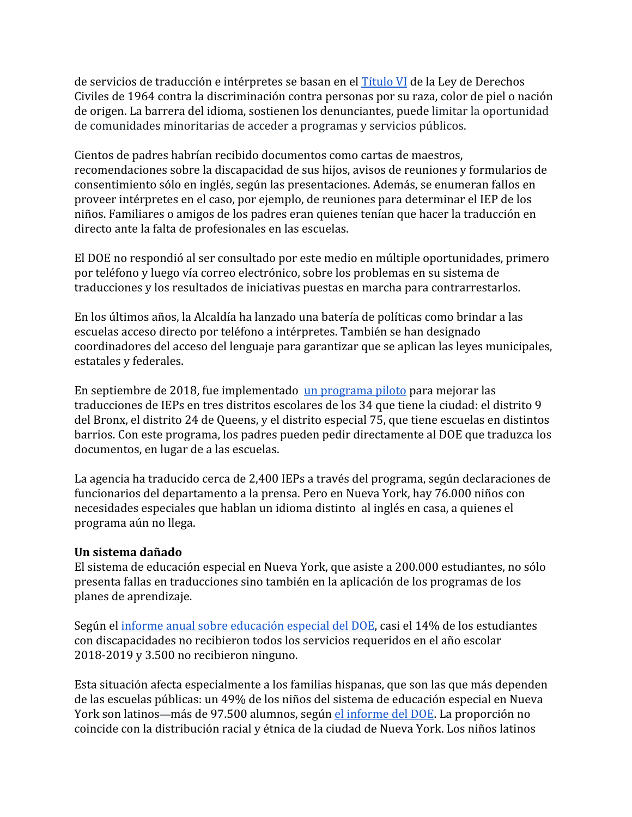de servicios de traducción e intérpretes se basan en el [Título VI](https://www.justice.gov/crt/sus-derechos-segun-el-titulo-vi-de-la-ley-de-derechos-civiles-de-1964-title-vi-civil-rights-act) de la Ley de Derechos Civiles de 1964 contra la discriminación contra personas por su raza, color de piel o nación de origen. La barrera del idioma, sostienen los denunciantes, puede limitar la oportunidad de comunidades minoritarias de acceder a programas y servicios públicos.

Cientos de padres habrían recibido documentos como cartas de maestros, recomendaciones sobre la discapacidad de sus hijos, avisos de reuniones y formularios de consentimiento sólo en inglés, según las presentaciones. Además, se enumeran fallos en proveer intérpretes en el caso, por ejemplo, de reuniones para determinar el IEP de los niños. Familiares o amigos de los padres eran quienes tenían que hacer la traducción en directo ante la falta de profesionales en las escuelas.

El DOE no respondió al ser consultado por este medio en múltiple oportunidades, primero por teléfono y luego vía correo electrónico, sobre los problemas en su sistema de traducciones y los resultados de iniciativas puestas en marcha para contrarrestarlos.

En los últimos años, la Alcaldía ha lanzado una batería de políticas como brindar a las escuelas acceso directo por teléfono a intérpretes. También se han designado coordinadores del acceso del lenguaje para garantizar que se aplican las leyes municipales, estatales y federales.

En septiembre de 2018, fue implementado [un programa piloto](https://www.chalkbeat.org/posts/ny/2019/01/09/iep-translation-pilot-program-nyc/) para mejorar las traducciones de IEPs en tres distritos escolares de los 34 que tiene la ciudad: el distrito 9 del Bronx, el distrito 24 de Queens, y el distrito especial 75, que tiene escuelas en distintos barrios. Con este programa, los padres pueden pedir directamente al DOE que traduzca los documentos, en lugar de a las escuelas.

La agencia ha traducido cerca de 2,400 IEPs a través del programa, según declaraciones de funcionarios del departamento a la prensa. Pero en Nueva York, hay 76.000 niños con necesidades especiales que hablan un idioma distinto al inglés en casa, a quienes el programa aún no llega.

### **Un sistema dañado**

El sistema de educación especial en Nueva York, que asiste a 200.000 estudiantes, no sólo presenta fallas en traducciones sino también en la aplicación de los programas de los planes de aprendizaje.

Según el [informe anual sobre educación especial del DOE](https://infohub.nyced.org/docs/default-source/default-document-library/annual-special-education-data-report-sy18-1960b79998ec27487584b9fedec3fac29c.pdf), casi el 14% de los estudiantes con discapacidades no recibieron todos los servicios requeridos en el año escolar 2018-2019 y 3.500 no recibieron ninguno.

Esta situación afecta especialmente a los familias hispanas, que son las que más dependen de las escuelas públicas: un 49% de los niños del sistema de educación especial en Nueva York son latinos—más de 97.500 alumnos, según [el informe del DOE.](https://infohub.nyced.org/docs/default-source/default-document-library/annual-special-education-data-report-sy18-1960b79998ec27487584b9fedec3fac29c.pdf) La proporción no coincide con la distribución racial y étnica de la ciudad de Nueva York. Los niños latinos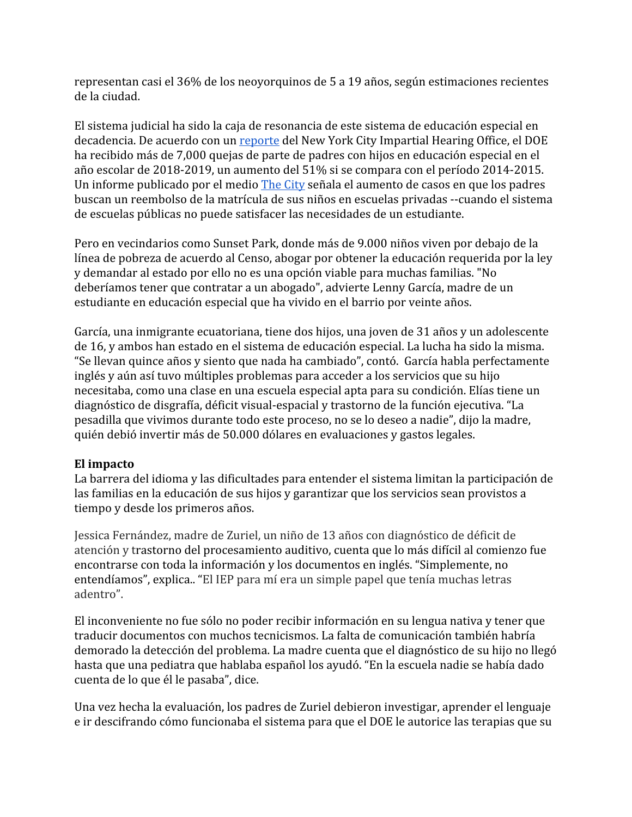representan casi el 36% de los neoyorquinos de 5 a 19 años, según estimaciones recientes de la ciudad.

El sistema judicial ha sido la caja de resonancia de este sistema de educación especial en decadencia. De acuerdo con un [reporte](https://www.documentcloud.org/documents/6025928-External-Review-of-the-New-York-City-Impartial.html) del New York City Impartial Hearing Office, el DOE ha recibido más de 7,000 quejas de parte de padres con hijos en educación especial en el año escolar de 2018-2019, un aumento del 51% si se compara con el período 2014-2015. Un informe publicado por el medio [The City](https://thecity.nyc/2019/05/complaints-by-parents-of-special-education-students-surge.html) señala el aumento de casos en que los padres buscan un reembolso de la matrícula de sus niños en escuelas privadas --cuando el sistema de escuelas públicas no puede satisfacer las necesidades de un estudiante.

Pero en vecindarios como Sunset Park, donde más de 9.000 niños viven por debajo de la línea de pobreza de acuerdo al Censo, abogar por obtener la educación requerida por la ley y demandar al estado por ello no es una opción viable para muchas familias. "No deberíamos tener que contratar a un abogado", advierte Lenny García, madre de un estudiante en educación especial que ha vivido en el barrio por veinte años.

García, una inmigrante ecuatoriana, tiene dos hijos, una joven de 31 años y un adolescente de 16, y ambos han estado en el sistema de educación especial. La lucha ha sido la misma. "Se llevan quince años y siento que nada ha cambiado", contó. García habla perfectamente inglés y aún así tuvo múltiples problemas para acceder a los servicios que su hijo necesitaba, como una clase en una escuela especial apta para su condición. Elías tiene un diagnóstico de disgrafía, déficit visual-espacial y trastorno de la función ejecutiva. "La pesadilla que vivimos durante todo este proceso, no se lo deseo a nadie", dijo la madre, quién debió invertir más de 50.000 dólares en evaluaciones y gastos legales.

### **El impacto**

La barrera del idioma y las dificultades para entender el sistema limitan la participación de las familias en la educación de sus hijos y garantizar que los servicios sean provistos a tiempo y desde los primeros años.

Jessica Fernández, madre de Zuriel, un niño de 13 años con diagnóstico de déficit de atención y trastorno del procesamiento auditivo, cuenta que lo más difícil al comienzo fue encontrarse con toda la información y los documentos en inglés. "Simplemente, no entendíamos", explica.. "El IEP para mí era un simple papel que tenía muchas letras adentro".

El inconveniente no fue sólo no poder recibir información en su lengua nativa y tener que traducir documentos con muchos tecnicismos. La falta de comunicación también habría demorado la detección del problema. La madre cuenta que el diagnóstico de su hijo no llegó hasta que una pediatra que hablaba español los ayudó. "En la escuela nadie se había dado cuenta de lo que él le pasaba", dice.

Una vez hecha la evaluación, los padres de Zuriel debieron investigar, aprender el lenguaje e ir descifrando cómo funcionaba el sistema para que el DOE le autorice las terapias que su